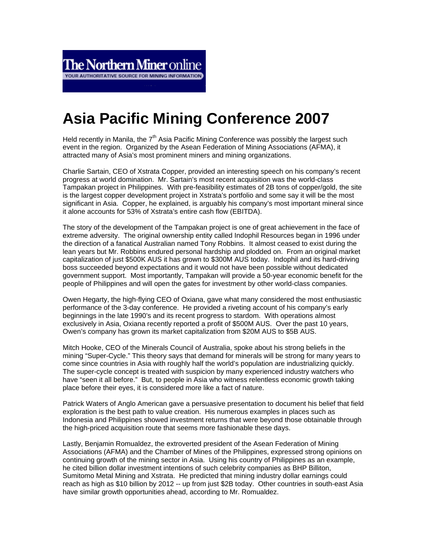## **Asia Pacific Mining Conference 2007**

Held recently in Manila, the  $7<sup>th</sup>$  Asia Pacific Mining Conference was possibly the largest such event in the region. Organized by the Asean Federation of Mining Associations (AFMA), it attracted many of Asia's most prominent miners and mining organizations.

 $\parallel$ 

Charlie Sartain, CEO of Xstrata Copper, provided an interesting speech on his company's recent progress at world domination. Mr. Sartain's most recent acquisition was the world-class Tampakan project in Philippines. With pre-feasibility estimates of 2B tons of copper/gold, the site is the largest copper development project in Xstrata's portfolio and some say it will be the most significant in Asia. Copper, he explained, is arguably his company's most important mineral since it alone accounts for 53% of Xstrata's entire cash flow (EBITDA).

The story of the development of the Tampakan project is one of great achievement in the face of extreme adversity. The original ownership entity called Indophil Resources began in 1996 under the direction of a fanatical Australian named Tony Robbins. It almost ceased to exist during the lean years but Mr. Robbins endured personal hardship and plodded on. From an original market capitalization of just \$500K AUS it has grown to \$300M AUS today. Indophil and its hard-driving boss succeeded beyond expectations and it would not have been possible without dedicated government support. Most importantly, Tampakan will provide a 50-year economic benefit for the people of Philippines and will open the gates for investment by other world-class companies.

Owen Hegarty, the high-flying CEO of Oxiana, gave what many considered the most enthusiastic performance of the 3-day conference. He provided a riveting account of his company's early beginnings in the late 1990's and its recent progress to stardom. With operations almost exclusively in Asia, Oxiana recently reported a profit of \$500M AUS. Over the past 10 years, Owen's company has grown its market capitalization from \$20M AUS to \$5B AUS.

Mitch Hooke, CEO of the Minerals Council of Australia, spoke about his strong beliefs in the mining "Super-Cycle." This theory says that demand for minerals will be strong for many years to come since countries in Asia with roughly half the world's population are industrializing quickly. The super-cycle concept is treated with suspicion by many experienced industry watchers who have "seen it all before." But, to people in Asia who witness relentless economic growth taking place before their eyes, it is considered more like a fact of nature.

Patrick Waters of Anglo American gave a persuasive presentation to document his belief that field exploration is the best path to value creation. His numerous examples in places such as Indonesia and Philippines showed investment returns that were beyond those obtainable through the high-priced acquisition route that seems more fashionable these days.

Lastly, Benjamin Romualdez, the extroverted president of the Asean Federation of Mining Associations (AFMA) and the Chamber of Mines of the Philippines, expressed strong opinions on continuing growth of the mining sector in Asia. Using his country of Philippines as an example, he cited billion dollar investment intentions of such celebrity companies as BHP Billiton, Sumitomo Metal Mining and Xstrata. He predicted that mining industry dollar earnings could reach as high as \$10 billion by 2012 -- up from just \$2B today. Other countries in south-east Asia have similar growth opportunities ahead, according to Mr. Romualdez.